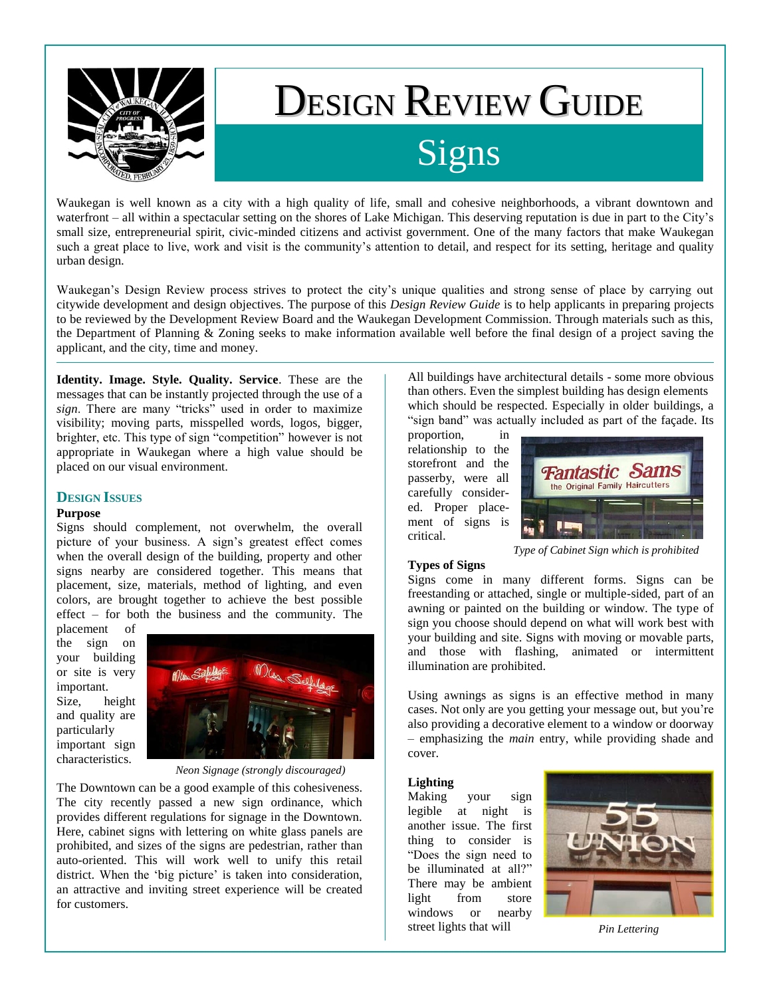

# DESIGN REVIEW GUIDE

# Signs

Waukegan is well known as a city with a high quality of life, small and cohesive neighborhoods, a vibrant downtown and waterfront – all within a spectacular setting on the shores of Lake Michigan. This deserving reputation is due in part to the City's small size, entrepreneurial spirit, civic-minded citizens and activist government. One of the many factors that make Waukegan such a great place to live, work and visit is the community's attention to detail, and respect for its setting, heritage and quality urban design.

Waukegan's Design Review process strives to protect the city's unique qualities and strong sense of place by carrying out citywide development and design objectives. The purpose of this *Design Review Guide* is to help applicants in preparing projects to be reviewed by the Development Review Board and the Waukegan Development Commission. Through materials such as this, the Department of Planning & Zoning seeks to make information available well before the final design of a project saving the applicant, and the city, time and money.

**Identity. Image. Style. Quality. Service**. These are the messages that can be instantly projected through the use of a *sign*. There are many "tricks" used in order to maximize visibility; moving parts, misspelled words, logos, bigger, brighter, etc. This type of sign "competition" however is not appropriate in Waukegan where a high value should be placed on our visual environment.

# **DESIGN ISSUES**

### **Purpose**

Signs should complement, not overwhelm, the overall picture of your business. A sign's greatest effect comes when the overall design of the building, property and other signs nearby are considered together. This means that placement, size, materials, method of lighting, and even colors, are brought together to achieve the best possible effect – for both the business and the community. The

placement of the sign on your building or site is very important. Size, height

and quality are particularly important sign characteristics.

*Neon Signage (strongly discouraged)*

The Downtown can be a good example of this cohesiveness. The city recently passed a new sign ordinance, which provides different regulations for signage in the Downtown. Here, cabinet signs with lettering on white glass panels are prohibited, and sizes of the signs are pedestrian, rather than auto-oriented. This will work well to unify this retail district. When the 'big picture' is taken into consideration, an attractive and inviting street experience will be created for customers.

All buildings have architectural details - some more obvious than others. Even the simplest building has design elements which should be respected. Especially in older buildings, a "sign band" was actually included as part of the façade. Its

proportion, in relationship to the storefront and the passerby, were all carefully considered. Proper placement of signs is critical.



*Type of Cabinet Sign which is prohibited*

#### **Types of Signs**

Signs come in many different forms. Signs can be freestanding or attached, single or multiple-sided, part of an awning or painted on the building or window. The type of sign you choose should depend on what will work best with your building and site. Signs with moving or movable parts, and those with flashing, animated or intermittent illumination are prohibited.

Using awnings as signs is an effective method in many cases. Not only are you getting your message out, but you're also providing a decorative element to a window or doorway – emphasizing the *main* entry, while providing shade and cover.

#### **Lighting**

Making your sign legible at night is another issue. The first thing to consider is "Does the sign need to be illuminated at all?" There may be ambient light from store windows or nearby street lights that will



*Pin Lettering*